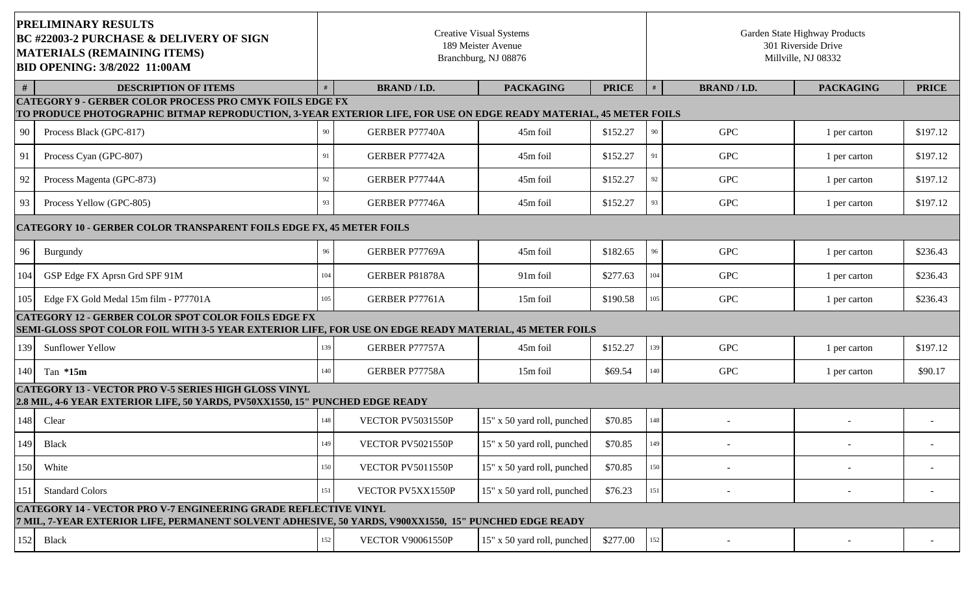| <b>PRELIMINARY RESULTS</b><br><b>BC #22003-2 PURCHASE &amp; DELIVERY OF SIGN</b><br><b>MATERIALS (REMAINING ITEMS)</b><br><b>BID OPENING: 3/8/2022 11:00AM</b>                  |                                                                                                                                                                                      | <b>Creative Visual Systems</b><br>189 Meister Avenue<br>Branchburg, NJ 08876 |                          |                             |              | Garden State Highway Products<br>301 Riverside Drive<br>Millville, NJ 08332 |                     |                  |              |  |
|---------------------------------------------------------------------------------------------------------------------------------------------------------------------------------|--------------------------------------------------------------------------------------------------------------------------------------------------------------------------------------|------------------------------------------------------------------------------|--------------------------|-----------------------------|--------------|-----------------------------------------------------------------------------|---------------------|------------------|--------------|--|
| #                                                                                                                                                                               | <b>DESCRIPTION OF ITEMS</b>                                                                                                                                                          |                                                                              | <b>BRAND / I.D.</b>      | <b>PACKAGING</b>            | <b>PRICE</b> |                                                                             | <b>BRAND / I.D.</b> | <b>PACKAGING</b> | <b>PRICE</b> |  |
|                                                                                                                                                                                 | <b>CATEGORY 9 - GERBER COLOR PROCESS PRO CMYK FOILS EDGE FX</b><br>TO PRODUCE PHOTOGRAPHIC BITMAP REPRODUCTION, 3-YEAR EXTERIOR LIFE, FOR USE ON EDGE READY MATERIAL, 45 METER FOILS |                                                                              |                          |                             |              |                                                                             |                     |                  |              |  |
| 90                                                                                                                                                                              | Process Black (GPC-817)                                                                                                                                                              | 90                                                                           | <b>GERBER P77740A</b>    | 45m foil                    | \$152.27     | 90                                                                          | <b>GPC</b>          | 1 per carton     | \$197.12     |  |
| 91                                                                                                                                                                              | Process Cyan (GPC-807)                                                                                                                                                               | 91                                                                           | GERBER P77742A           | 45m foil                    | \$152.27     | 91                                                                          | <b>GPC</b>          | 1 per carton     | \$197.12     |  |
| 92                                                                                                                                                                              | Process Magenta (GPC-873)                                                                                                                                                            | 92                                                                           | GERBER P77744A           | 45m foil                    | \$152.27     | 92                                                                          | <b>GPC</b>          | 1 per carton     | \$197.12     |  |
| 93                                                                                                                                                                              | Process Yellow (GPC-805)                                                                                                                                                             | 93                                                                           | GERBER P77746A           | 45m foil                    | \$152.27     | 93                                                                          | <b>GPC</b>          | 1 per carton     | \$197.12     |  |
|                                                                                                                                                                                 | <b>CATEGORY 10 - GERBER COLOR TRANSPARENT FOILS EDGE FX, 45 METER FOILS</b>                                                                                                          |                                                                              |                          |                             |              |                                                                             |                     |                  |              |  |
| 96                                                                                                                                                                              | Burgundy                                                                                                                                                                             | 96                                                                           | GERBER P77769A           | 45m foil                    | \$182.65     | 96                                                                          | <b>GPC</b>          | 1 per carton     | \$236.43     |  |
| 104                                                                                                                                                                             | GSP Edge FX Aprsn Grd SPF 91M                                                                                                                                                        | 104                                                                          | GERBER P81878A           | 91m foil                    | \$277.63     | 104                                                                         | <b>GPC</b>          | 1 per carton     | \$236.43     |  |
| 105                                                                                                                                                                             | Edge FX Gold Medal 15m film - P77701A                                                                                                                                                | 105                                                                          | GERBER P77761A           | 15m foil                    | \$190.58     | 105                                                                         | <b>GPC</b>          | 1 per carton     | \$236.43     |  |
|                                                                                                                                                                                 | <b>CATEGORY 12 - GERBER COLOR SPOT COLOR FOILS EDGE FX</b><br>SEMI-GLOSS SPOT COLOR FOIL WITH 3-5 YEAR EXTERIOR LIFE, FOR USE ON EDGE READY MATERIAL, 45 METER FOILS                 |                                                                              |                          |                             |              |                                                                             |                     |                  |              |  |
| 139                                                                                                                                                                             | <b>Sunflower Yellow</b>                                                                                                                                                              | 139                                                                          | GERBER P77757A           | 45m foil                    | \$152.27     | 139                                                                         | <b>GPC</b>          | 1 per carton     | \$197.12     |  |
| 140                                                                                                                                                                             | Tan $*15m$                                                                                                                                                                           | 140                                                                          | GERBER P77758A           | 15m foil                    | \$69.54      | 140                                                                         | <b>GPC</b>          | 1 per carton     | \$90.17      |  |
|                                                                                                                                                                                 | <b>CATEGORY 13 - VECTOR PRO V-5 SERIES HIGH GLOSS VINYL</b><br>2.8 MIL, 4-6 YEAR EXTERIOR LIFE, 50 YARDS, PV50XX1550, 15" PUNCHED EDGE READY                                         |                                                                              |                          |                             |              |                                                                             |                     |                  |              |  |
| 148                                                                                                                                                                             | Clear                                                                                                                                                                                | 148                                                                          | VECTOR PV5031550P        | 15" x 50 yard roll, punched | \$70.85      | 148                                                                         |                     |                  |              |  |
|                                                                                                                                                                                 | 149 Black                                                                                                                                                                            | 149                                                                          | VECTOR PV5021550P        | 15" x 50 yard roll, punched | \$70.85      | 149                                                                         |                     |                  |              |  |
| 150                                                                                                                                                                             | White                                                                                                                                                                                | 150                                                                          | VECTOR PV5011550P        | 15" x 50 yard roll, punched | \$70.85      | 150                                                                         |                     |                  |              |  |
| 151                                                                                                                                                                             | <b>Standard Colors</b>                                                                                                                                                               | 151                                                                          | VECTOR PV5XX1550P        | 15" x 50 yard roll, punched | \$76.23      | 151                                                                         |                     |                  |              |  |
| <b>CATEGORY 14 - VECTOR PRO V-7 ENGINEERING GRADE REFLECTIVE VINYL</b><br>7 MIL, 7-YEAR EXTERIOR LIFE, PERMANENT SOLVENT ADHESIVE, 50 YARDS, V900XX1550, 15" PUNCHED EDGE READY |                                                                                                                                                                                      |                                                                              |                          |                             |              |                                                                             |                     |                  |              |  |
| 152                                                                                                                                                                             | <b>Black</b>                                                                                                                                                                         | 152                                                                          | <b>VECTOR V90061550P</b> | 15" x 50 yard roll, punched | \$277.00     | 152                                                                         |                     |                  |              |  |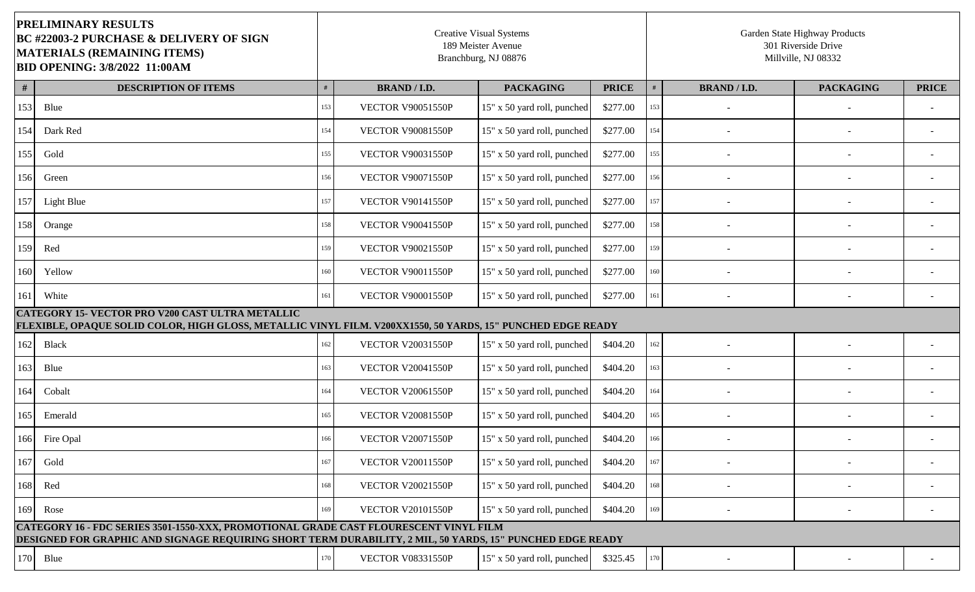| <b>PRELIMINARY RESULTS</b><br><b>BC #22003-2 PURCHASE &amp; DELIVERY OF SIGN</b><br>MATERIALS (REMAINING ITEMS)<br><b>BID OPENING: 3/8/2022 11:00AM</b>                                            |                                                                                                                                                                        | <b>Creative Visual Systems</b><br>189 Meister Avenue<br>Branchburg, NJ 08876 |                          |                             |              | Garden State Highway Products<br>301 Riverside Drive<br>Millville, NJ 08332 |                     |                  |              |  |  |
|----------------------------------------------------------------------------------------------------------------------------------------------------------------------------------------------------|------------------------------------------------------------------------------------------------------------------------------------------------------------------------|------------------------------------------------------------------------------|--------------------------|-----------------------------|--------------|-----------------------------------------------------------------------------|---------------------|------------------|--------------|--|--|
| #                                                                                                                                                                                                  | <b>DESCRIPTION OF ITEMS</b>                                                                                                                                            |                                                                              | <b>BRAND / I.D.</b>      | <b>PACKAGING</b>            | <b>PRICE</b> |                                                                             | <b>BRAND / I.D.</b> | <b>PACKAGING</b> | <b>PRICE</b> |  |  |
| 153                                                                                                                                                                                                | Blue                                                                                                                                                                   | 153                                                                          | <b>VECTOR V90051550P</b> | 15" x 50 yard roll, punched | \$277.00     | 153                                                                         |                     |                  |              |  |  |
| 154                                                                                                                                                                                                | Dark Red                                                                                                                                                               | 154                                                                          | <b>VECTOR V90081550P</b> | 15" x 50 yard roll, punched | \$277.00     | 154                                                                         |                     |                  |              |  |  |
| 155                                                                                                                                                                                                | Gold                                                                                                                                                                   | 155                                                                          | <b>VECTOR V90031550P</b> | 15" x 50 yard roll, punched | \$277.00     | 155                                                                         |                     |                  |              |  |  |
| 156                                                                                                                                                                                                | Green                                                                                                                                                                  | 156                                                                          | <b>VECTOR V90071550P</b> | 15" x 50 yard roll, punched | \$277.00     | 156                                                                         |                     |                  |              |  |  |
| 157                                                                                                                                                                                                | Light Blue                                                                                                                                                             | 157                                                                          | <b>VECTOR V90141550P</b> | 15" x 50 yard roll, punched | \$277.00     | 157                                                                         |                     |                  |              |  |  |
| 158                                                                                                                                                                                                | Orange                                                                                                                                                                 | 158                                                                          | <b>VECTOR V90041550P</b> | 15" x 50 yard roll, punched | \$277.00     | 158                                                                         |                     |                  |              |  |  |
| 159                                                                                                                                                                                                | Red                                                                                                                                                                    | 159                                                                          | <b>VECTOR V90021550P</b> | 15" x 50 yard roll, punched | \$277.00     | 159                                                                         |                     |                  |              |  |  |
| 160                                                                                                                                                                                                | Yellow                                                                                                                                                                 | 160                                                                          | <b>VECTOR V90011550P</b> | 15" x 50 yard roll, punched | \$277.00     | 160                                                                         |                     |                  |              |  |  |
| 161                                                                                                                                                                                                | White                                                                                                                                                                  | 161                                                                          | <b>VECTOR V90001550P</b> | 15" x 50 yard roll, punched | \$277.00     | 161                                                                         |                     |                  |              |  |  |
|                                                                                                                                                                                                    | <b>CATEGORY 15- VECTOR PRO V200 CAST ULTRA METALLIC</b><br>FLEXIBLE, OPAQUE SOLID COLOR, HIGH GLOSS, METALLIC VINYL FILM. V200XX1550, 50 YARDS, 15" PUNCHED EDGE READY |                                                                              |                          |                             |              |                                                                             |                     |                  |              |  |  |
| 162                                                                                                                                                                                                | <b>Black</b>                                                                                                                                                           | 162                                                                          | <b>VECTOR V20031550P</b> | 15" x 50 yard roll, punched | \$404.20     | 162                                                                         |                     |                  |              |  |  |
| 163                                                                                                                                                                                                | Blue                                                                                                                                                                   | 163                                                                          | <b>VECTOR V20041550P</b> | 15" x 50 yard roll, punched | \$404.20     | 163                                                                         |                     |                  |              |  |  |
| 164                                                                                                                                                                                                | Cobalt                                                                                                                                                                 | 164                                                                          | <b>VECTOR V20061550P</b> | 15" x 50 yard roll, punched | \$404.20     | 164                                                                         |                     |                  |              |  |  |
| 165                                                                                                                                                                                                | Emerald                                                                                                                                                                | 165                                                                          | <b>VECTOR V20081550P</b> | 15" x 50 yard roll, punched | \$404.20     | 165                                                                         |                     |                  |              |  |  |
|                                                                                                                                                                                                    | 166 Fire Opal                                                                                                                                                          | 166                                                                          | <b>VECTOR V20071550P</b> | 15" x 50 yard roll, punched | \$404.20     | 166                                                                         |                     |                  |              |  |  |
| 167                                                                                                                                                                                                | Gold                                                                                                                                                                   | 167                                                                          | <b>VECTOR V20011550P</b> | 15" x 50 yard roll, punched | \$404.20     | 167                                                                         |                     |                  |              |  |  |
| 168                                                                                                                                                                                                | Red                                                                                                                                                                    | 168                                                                          | <b>VECTOR V20021550P</b> | 15" x 50 yard roll, punched | \$404.20     | 168                                                                         |                     |                  |              |  |  |
| 169                                                                                                                                                                                                | Rose                                                                                                                                                                   | 169                                                                          | <b>VECTOR V20101550P</b> | 15" x 50 yard roll, punched | \$404.20     | 169                                                                         |                     |                  |              |  |  |
| CATEGORY 16 - FDC SERIES 3501-1550-XXX, PROMOTIONAL GRADE CAST FLOURESCENT VINYL FILM<br>DESIGNED FOR GRAPHIC AND SIGNAGE REQUIRING SHORT TERM DURABILITY, 2 MIL, 50 YARDS, 15" PUNCHED EDGE READY |                                                                                                                                                                        |                                                                              |                          |                             |              |                                                                             |                     |                  |              |  |  |
|                                                                                                                                                                                                    | 170 Blue                                                                                                                                                               | 170                                                                          | <b>VECTOR V08331550P</b> | 15" x 50 yard roll, punched | \$325.45     | 170                                                                         |                     |                  |              |  |  |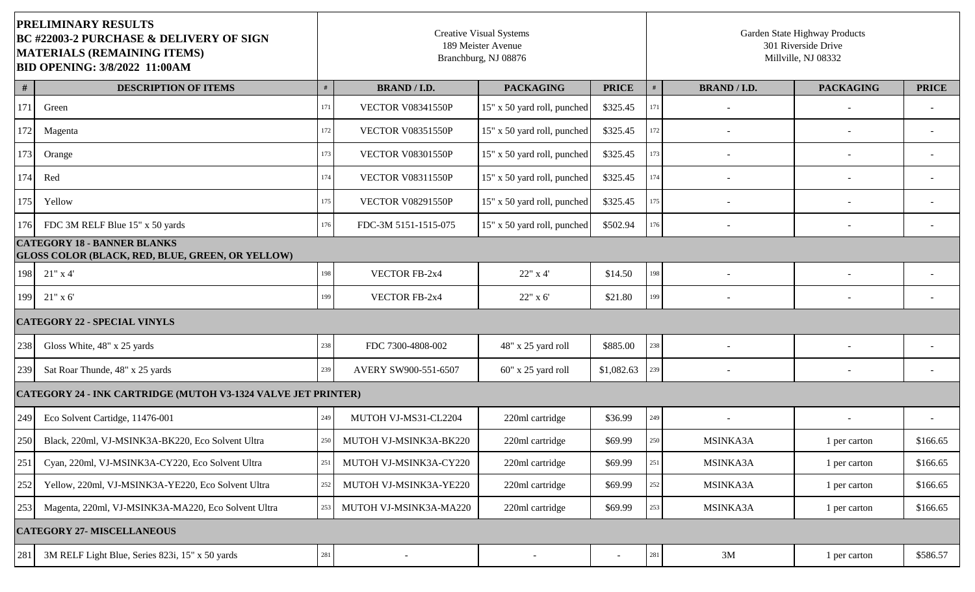| <b>PRELIMINARY RESULTS</b><br><b>BC #22003-2 PURCHASE &amp; DELIVERY OF SIGN</b><br><b>MATERIALS (REMAINING ITEMS)</b><br><b>BID OPENING: 3/8/2022 11:00AM</b> |                                                                                        | <b>Creative Visual Systems</b><br>189 Meister Avenue<br>Branchburg, NJ 08876 |                          |                             |              | Garden State Highway Products<br>301 Riverside Drive<br>Millville, NJ 08332 |                          |                          |              |  |
|----------------------------------------------------------------------------------------------------------------------------------------------------------------|----------------------------------------------------------------------------------------|------------------------------------------------------------------------------|--------------------------|-----------------------------|--------------|-----------------------------------------------------------------------------|--------------------------|--------------------------|--------------|--|
| #                                                                                                                                                              | <b>DESCRIPTION OF ITEMS</b>                                                            | #                                                                            | <b>BRAND / I.D.</b>      | <b>PACKAGING</b>            | <b>PRICE</b> |                                                                             | <b>BRAND / I.D.</b>      | <b>PACKAGING</b>         | <b>PRICE</b> |  |
| 171                                                                                                                                                            | Green                                                                                  | 171                                                                          | <b>VECTOR V08341550P</b> | 15" x 50 yard roll, punched | \$325.45     | 171                                                                         |                          |                          |              |  |
| 172                                                                                                                                                            | Magenta                                                                                | 172                                                                          | <b>VECTOR V08351550P</b> | 15" x 50 yard roll, punched | \$325.45     | 172                                                                         |                          |                          |              |  |
| 173                                                                                                                                                            | Orange                                                                                 | 173                                                                          | <b>VECTOR V08301550P</b> | 15" x 50 yard roll, punched | \$325.45     | 173                                                                         |                          |                          |              |  |
| 174                                                                                                                                                            | Red                                                                                    | 174                                                                          | <b>VECTOR V08311550P</b> | 15" x 50 yard roll, punched | \$325.45     | 174                                                                         |                          |                          |              |  |
| 175                                                                                                                                                            | Yellow                                                                                 | 175                                                                          | <b>VECTOR V08291550P</b> | 15" x 50 yard roll, punched | \$325.45     | 175                                                                         | $\overline{\phantom{a}}$ |                          |              |  |
| 176                                                                                                                                                            | FDC 3M RELF Blue 15" x 50 yards                                                        | 176                                                                          | FDC-3M 5151-1515-075     | 15" x 50 yard roll, punched | \$502.94     | 176                                                                         | $\overline{\phantom{a}}$ | $\overline{\phantom{a}}$ |              |  |
|                                                                                                                                                                | <b>CATEGORY 18 - BANNER BLANKS</b><br>GLOSS COLOR (BLACK, RED, BLUE, GREEN, OR YELLOW) |                                                                              |                          |                             |              |                                                                             |                          |                          |              |  |
| 198                                                                                                                                                            | $21"$ x 4'                                                                             | 198                                                                          | VECTOR FB-2x4            | 22" x 4'                    | \$14.50      | 198                                                                         |                          |                          |              |  |
| 199                                                                                                                                                            | $21"$ x 6'                                                                             | 199                                                                          | VECTOR FB-2x4            | 22" x 6'                    | \$21.80      | 199                                                                         |                          |                          |              |  |
| <b>CATEGORY 22 - SPECIAL VINYLS</b>                                                                                                                            |                                                                                        |                                                                              |                          |                             |              |                                                                             |                          |                          |              |  |
| 238                                                                                                                                                            | Gloss White, 48" x 25 yards                                                            | 238                                                                          | FDC 7300-4808-002        | 48" x 25 yard roll          | \$885.00     | $238\,$                                                                     |                          |                          |              |  |
| 239                                                                                                                                                            | Sat Roar Thunde, 48" x 25 yards                                                        | 239                                                                          | AVERY SW900-551-6507     | 60" x 25 yard roll          | \$1,082.63   | 239                                                                         |                          |                          |              |  |
|                                                                                                                                                                | <b>CATEGORY 24 - INK CARTRIDGE (MUTOH V3-1324 VALVE JET PRINTER)</b>                   |                                                                              |                          |                             |              |                                                                             |                          |                          |              |  |
| 249                                                                                                                                                            | Eco Solvent Cartidge, 11476-001                                                        | 249                                                                          | MUTOH VJ-MS31-CL2204     | 220ml cartridge             | \$36.99      | 249                                                                         |                          |                          |              |  |
| 250                                                                                                                                                            | Black, 220ml, VJ-MSINK3A-BK220, Eco Solvent Ultra                                      | 250                                                                          | MUTOH VJ-MSINK3A-BK220   | 220ml cartridge             | \$69.99      | 250                                                                         | MSINKA3A                 | 1 per carton             | \$166.65     |  |
| 251                                                                                                                                                            | Cyan, 220ml, VJ-MSINK3A-CY220, Eco Solvent Ultra                                       | 251                                                                          | MUTOH VJ-MSINK3A-CY220   | 220ml cartridge             | \$69.99      | 251                                                                         | MSINKA3A                 | 1 per carton             | \$166.65     |  |
| 252                                                                                                                                                            | Yellow, 220ml, VJ-MSINK3A-YE220, Eco Solvent Ultra                                     | 252                                                                          | MUTOH VJ-MSINK3A-YE220   | 220ml cartridge             | \$69.99      | 252                                                                         | MSINKA3A                 | 1 per carton             | \$166.65     |  |
| 253                                                                                                                                                            | Magenta, 220ml, VJ-MSINK3A-MA220, Eco Solvent Ultra                                    | 253                                                                          | MUTOH VJ-MSINK3A-MA220   | 220ml cartridge             | \$69.99      | 253                                                                         | MSINKA3A                 | 1 per carton             | \$166.65     |  |
|                                                                                                                                                                | <b>CATEGORY 27- MISCELLANEOUS</b>                                                      |                                                                              |                          |                             |              |                                                                             |                          |                          |              |  |
| 281                                                                                                                                                            | 3M RELF Light Blue, Series 823i, 15" x 50 yards                                        | 281                                                                          |                          |                             | $\sim$       | 281                                                                         | 3M                       | 1 per carton             | \$586.57     |  |